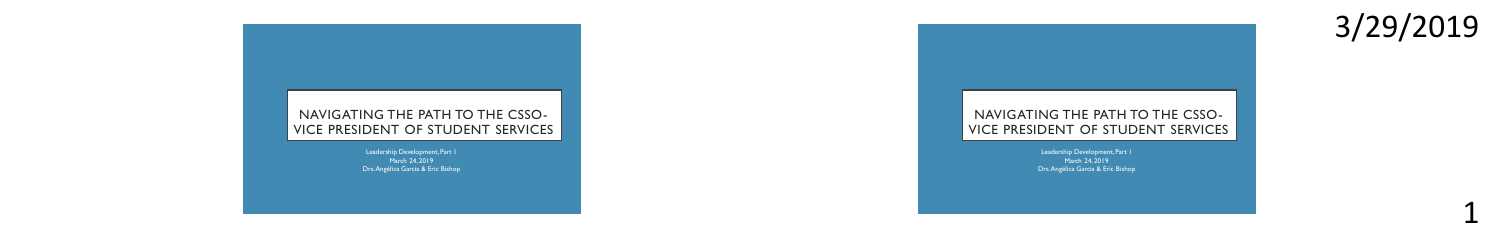

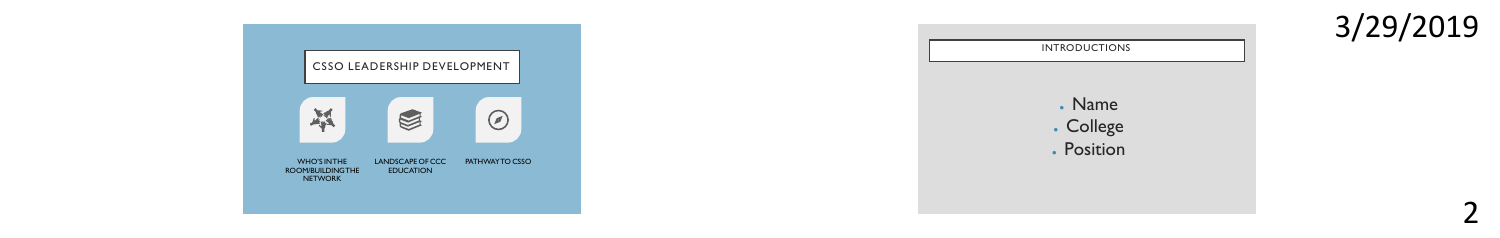



3/29/20192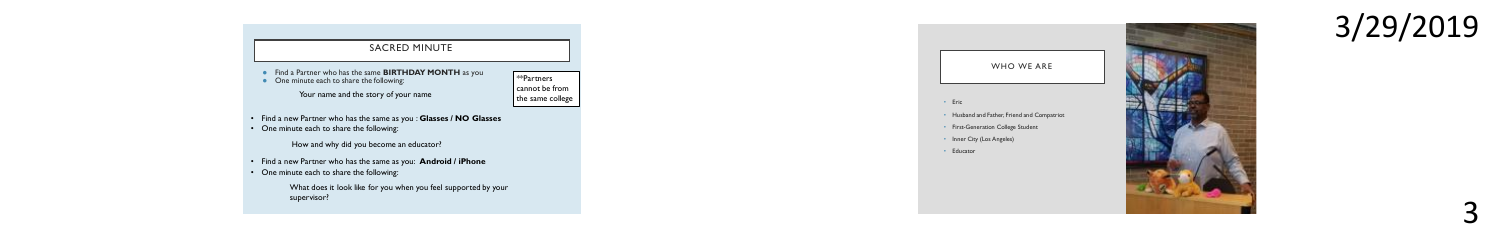

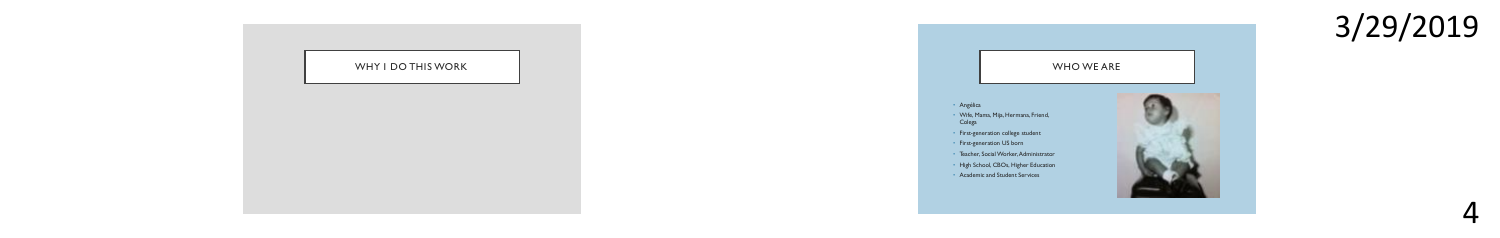



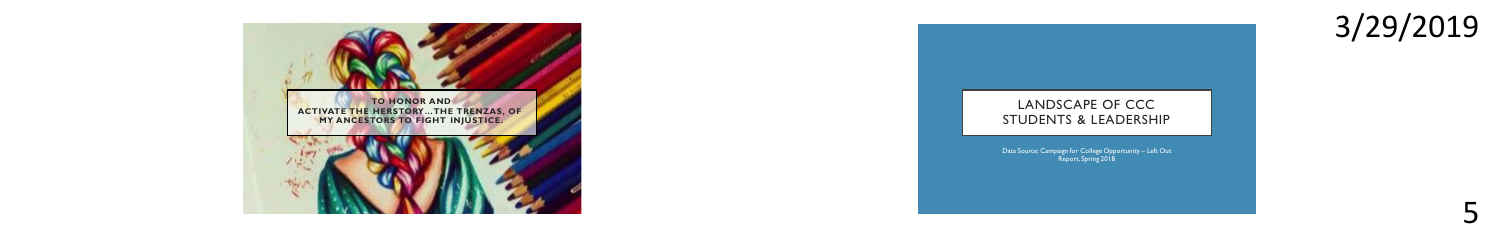



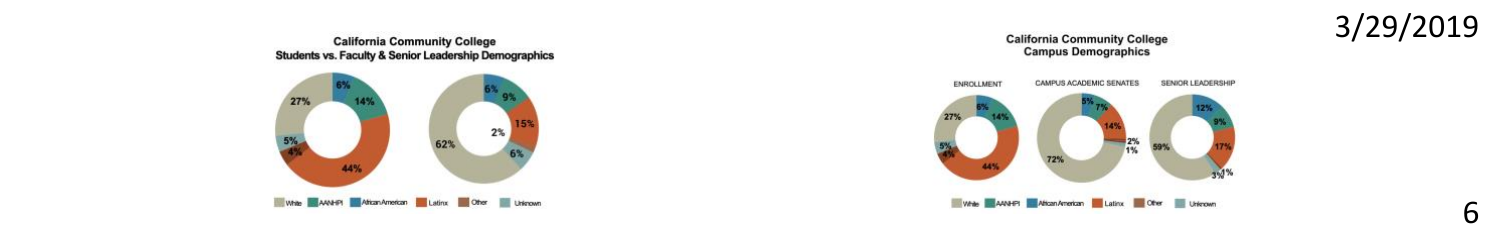

**California Community College Campus Demographics** 

3/29/2019

b

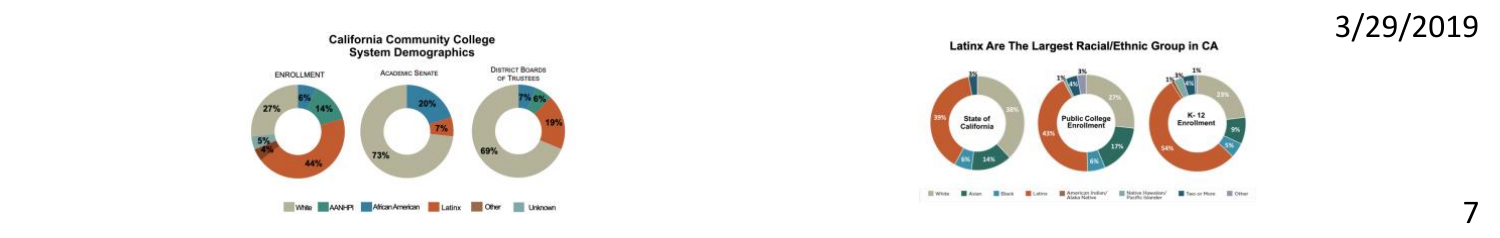

7





Latinx Are The Largest Racial/Ethnic Group in CA

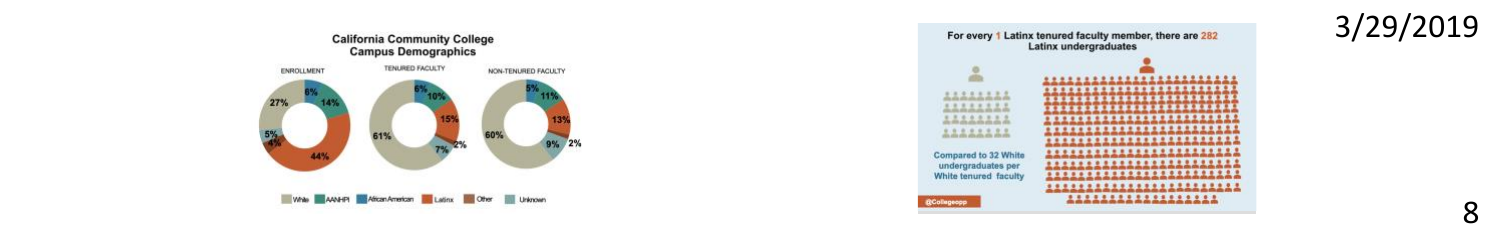

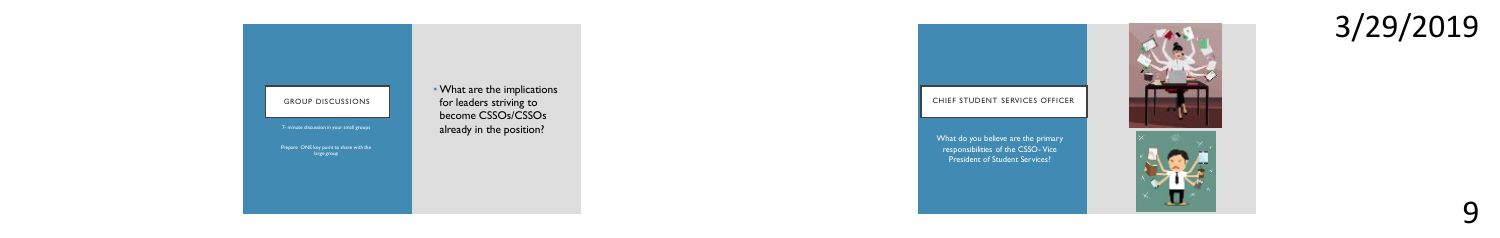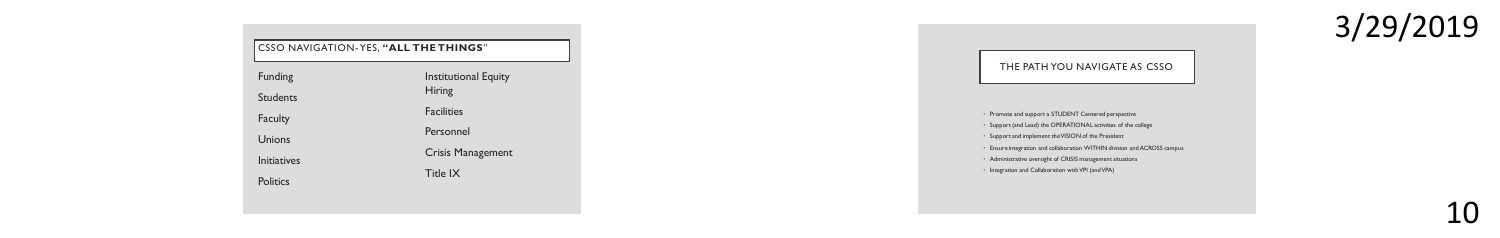| CSSO NAVIGATION-YES, "ALL THE THINGS" |                                |
|---------------------------------------|--------------------------------|
| Funding                               | Institutional Equity<br>Hiring |
| Students                              |                                |
| Faculty                               | <b>Facilities</b>              |
| Unions                                | Personnel                      |
| Initiatives                           | Crisis Management              |
| Politics                              | Title IX                       |

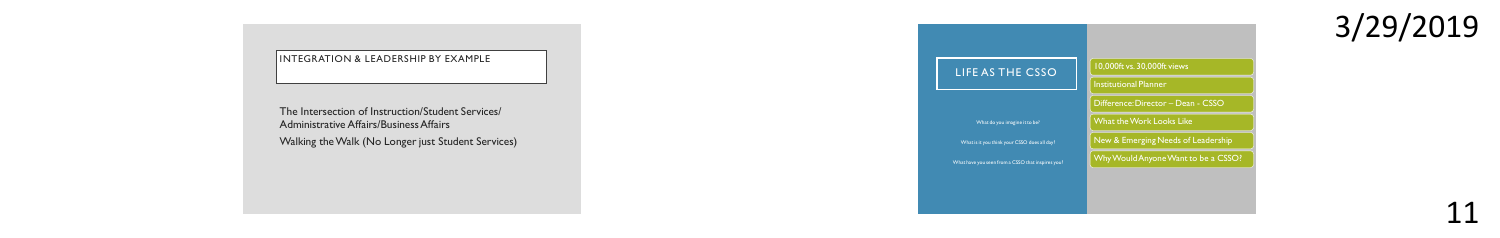## INTEGRATION & LEADERSHIP BY EXAMPLE

The Intersection of Instruction/Student Services/ Administrative Affairs/Business Affairs Walking the Walk (No Longer just Student Services)

LIFE AS THE CSSO 10,000ft vs. 30,000ft views Institutional Planner What the Work Looks Like New & Emerging Needs of Leadership Why Would Anyone Want to be a CSSO?

3/29/2019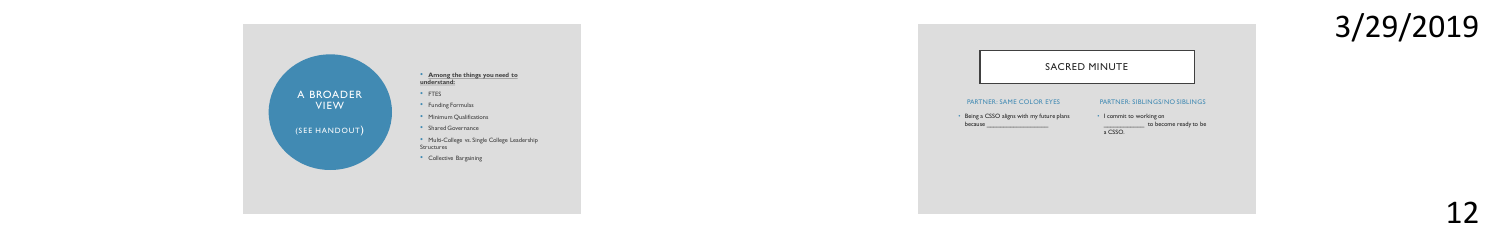

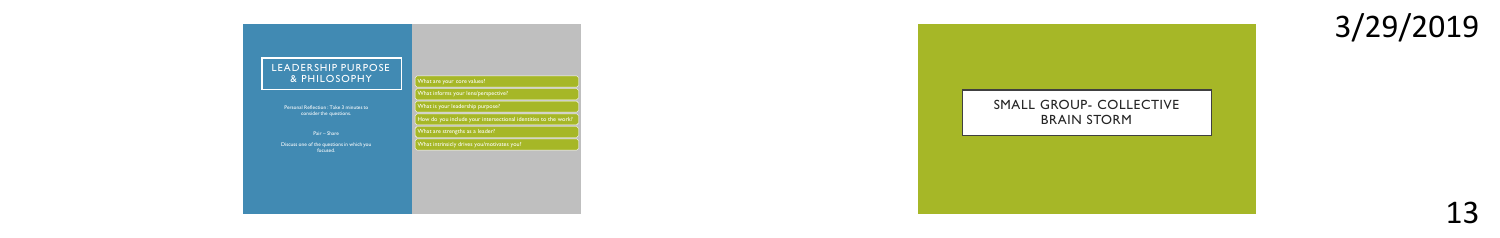

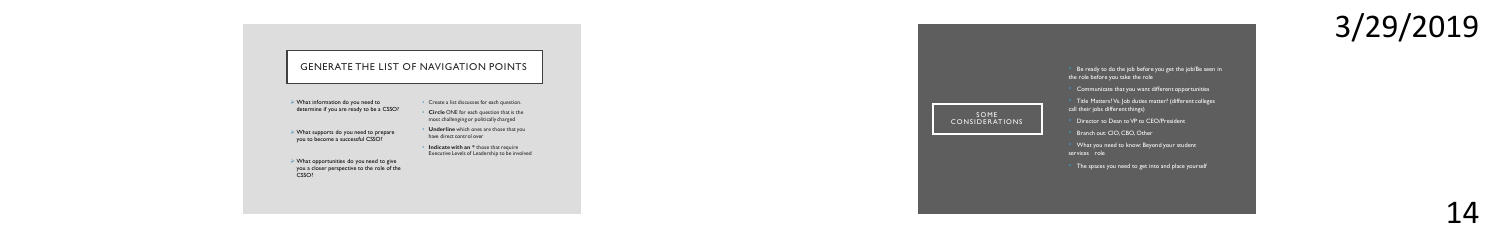

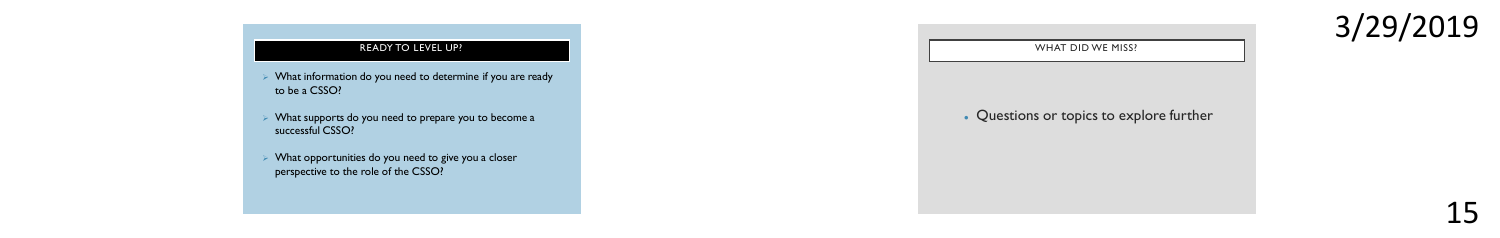➢ What information do you need to determine if you are ready to be a CSSO?

➢ What supports do you need to prepare you to become a successful CSSO?

➢ What opportunities do you need to give you a closer perspective to the role of the CSSO?



3/29/2019